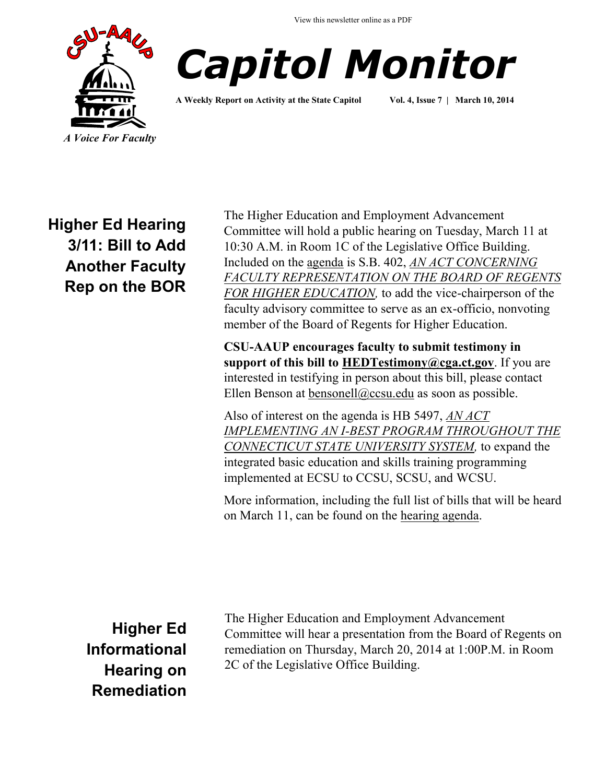View this newsletter online as a PDF





**A Weekly Report on Activity at the State Capitol Vol. 4, Issue 7 | March 10, 2014**

**Higher Ed Hearing 3/11: Bill to Add Another Faculty Rep on the BOR**

The Higher Education and Employment Advancement Committee will hold a public hearing on Tuesday, March 11 at 10:30 A.M. in Room 1C of the Legislative Office Building. Included on the [agenda](http://www.cga.ct.gov/2014/HEDdata/pha/2014PHA00311-R001030HED-PHA.htm) is S.B. 402, *[AN ACT CONCERNING](http://www.cga.ct.gov/asp/cgabillstatus/cgabillstatus.asp?selBillType=Bill&bill_num=SB00402&which_year=2014)  [FACULTY REPRESENTATION ON THE BOARD OF REGENTS](http://www.cga.ct.gov/asp/cgabillstatus/cgabillstatus.asp?selBillType=Bill&bill_num=SB00402&which_year=2014)  [FOR HIGHER EDUCATION,](http://www.cga.ct.gov/asp/cgabillstatus/cgabillstatus.asp?selBillType=Bill&bill_num=SB00402&which_year=2014)* to add the vice-chairperson of the faculty advisory committee to serve as an ex-officio, nonvoting member of the Board of Regents for Higher Education.

**CSU-AAUP encourages faculty to submit testimony in support of this bill to [HEDTestimony@cga.ct.gov](mailto:HEDTestimony@cga.ct.gov?subject=Testimony%20in%20support%20of%20SB%20402%20for%203/11%20hearing)**. If you are interested in testifying in person about this bill, please contact Ellen Benson at [bensonell@ccsu.edu](mailto:bensonell@ccsu.edu?subject=Testifying%20on%20SB402) as soon as possible.

Also of interest on the agenda is HB 5497, *[AN ACT](http://www.cga.ct.gov/asp/cgabillstatus/cgabillstatus.asp?selBillType=Bill&bill_num=HB05497&which_year=2014)  [IMPLEMENTING AN I-BEST PROGRAM THROUGHOUT THE](http://www.cga.ct.gov/asp/cgabillstatus/cgabillstatus.asp?selBillType=Bill&bill_num=HB05497&which_year=2014)  [CONNECTICUT STATE UNIVERSITY SYSTEM,](http://www.cga.ct.gov/asp/cgabillstatus/cgabillstatus.asp?selBillType=Bill&bill_num=HB05497&which_year=2014)* to expand the integrated basic education and skills training programming implemented at ECSU to CCSU, SCSU, and WCSU.

More information, including the full list of bills that will be heard on March 11, can be found on the [hearing agenda.](http://www.cga.ct.gov/2014/HEDdata/pha/2014PHA00311-R001030HED-PHA.htm)

**Higher Ed Informational Hearing on Remediation**  The Higher Education and Employment Advancement Committee will hear a presentation from the Board of Regents on remediation on Thursday, March 20, 2014 at 1:00P.M. in Room 2C of the Legislative Office Building.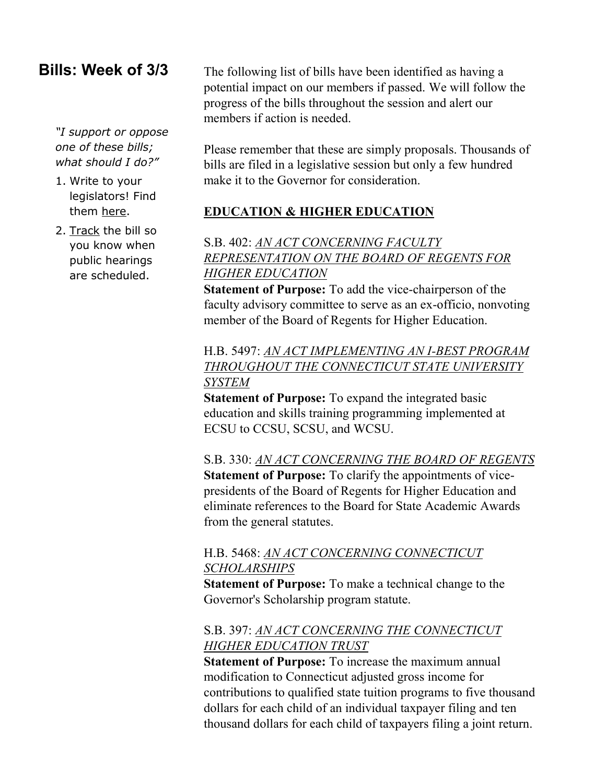## **Bills: Week of 3/3**

*"I support or oppose one of these bills; what should I do?"*

- 1. Write to your legislators! Find them [here.](http://www.cga.ct.gov/asp/menu/CGAFindLeg.asp)
- 2. [Track](http://www.cga.ct.gov/aspx/CGAPublicBillTrack/Register.aspx) the bill so you know when public hearings are scheduled.

The following list of bills have been identified as having a potential impact on our members if passed. We will follow the progress of the bills throughout the session and alert our members if action is needed.

Please remember that these are simply proposals. Thousands of bills are filed in a legislative session but only a few hundred make it to the Governor for consideration.

### **EDUCATION & HIGHER EDUCATION**

S.B. 402: *[AN ACT CONCERNING FACULTY](http://www.cga.ct.gov/asp/cgabillstatus/cgabillstatus.asp?selBillType=Bill&bill_num=SB00402&which_year=2014)  [REPRESENTATION ON THE BOARD OF REGENTS FOR](http://www.cga.ct.gov/asp/cgabillstatus/cgabillstatus.asp?selBillType=Bill&bill_num=SB00402&which_year=2014)  [HIGHER EDUCATION](http://www.cga.ct.gov/asp/cgabillstatus/cgabillstatus.asp?selBillType=Bill&bill_num=SB00402&which_year=2014)*

**Statement of Purpose:** To add the vice-chairperson of the faculty advisory committee to serve as an ex-officio, nonvoting member of the Board of Regents for Higher Education.

## H.B. 5497: *[AN ACT IMPLEMENTING AN I-BEST PROGRAM](http://www.cga.ct.gov/asp/cgabillstatus/cgabillstatus.asp?selBillType=Bill&bill_num=HB05497&which_year=2014)  [THROUGHOUT THE CONNECTICUT STATE UNIVERSITY](http://www.cga.ct.gov/asp/cgabillstatus/cgabillstatus.asp?selBillType=Bill&bill_num=HB05497&which_year=2014)  [SYSTEM](http://www.cga.ct.gov/asp/cgabillstatus/cgabillstatus.asp?selBillType=Bill&bill_num=HB05497&which_year=2014)*

**Statement of Purpose:** To expand the integrated basic education and skills training programming implemented at ECSU to CCSU, SCSU, and WCSU.

S.B. 330: *[AN ACT CONCERNING THE BOARD OF REGENTS](http://www.cga.ct.gov/asp/cgabillstatus/cgabillstatus.asp?selBillType=Bill&bill_num=SB00330&which_year=2014)* **Statement of Purpose:** To clarify the appointments of vicepresidents of the Board of Regents for Higher Education and eliminate references to the Board for State Academic Awards from the general statutes.

### H.B. 5468: *[AN ACT CONCERNING CONNECTICUT](http://www.cga.ct.gov/asp/cgabillstatus/cgabillstatus.asp?selBillType=Bill&bill_num=HB05468&which_year=2014)  [SCHOLARSHIPS](http://www.cga.ct.gov/asp/cgabillstatus/cgabillstatus.asp?selBillType=Bill&bill_num=HB05468&which_year=2014)*

**Statement of Purpose:** To make a technical change to the Governor's Scholarship program statute.

## S.B. 397: *[AN ACT CONCERNING THE CONNECTICUT](http://www.cga.ct.gov/asp/cgabillstatus/cgabillstatus.asp?selBillType=Bill&bill_num=SB00397&which_year=2014)  [HIGHER EDUCATION TRUST](http://www.cga.ct.gov/asp/cgabillstatus/cgabillstatus.asp?selBillType=Bill&bill_num=SB00397&which_year=2014)*

**Statement of Purpose:** To increase the maximum annual modification to Connecticut adjusted gross income for contributions to qualified state tuition programs to five thousand dollars for each child of an individual taxpayer filing and ten thousand dollars for each child of taxpayers filing a joint return.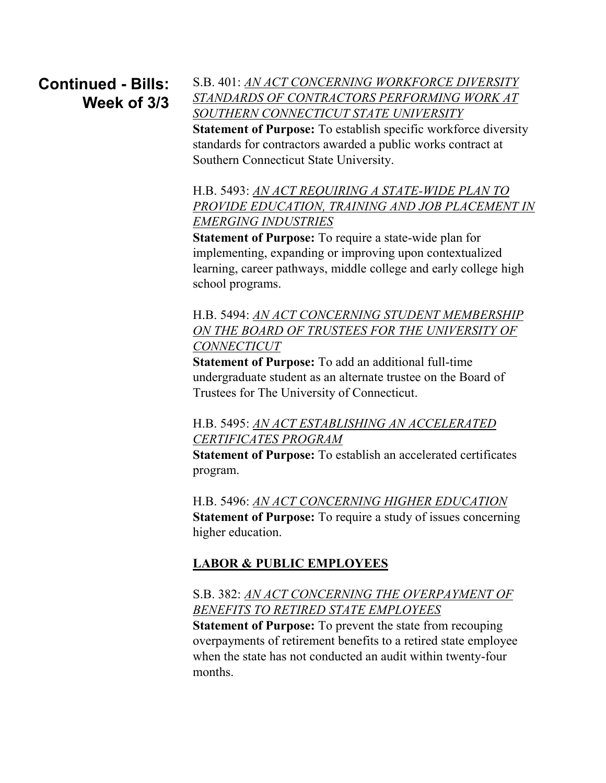# **Continued - Bills: Week of 3/3**

S.B. 401: *[AN ACT CONCERNING WORKFORCE DIVERSITY](http://www.cga.ct.gov/asp/cgabillstatus/cgabillstatus.asp?selBillType=Bill&bill_num=SB00401&which_year=2014)  [STANDARDS OF CONTRACTORS PERFORMING WORK AT](http://www.cga.ct.gov/asp/cgabillstatus/cgabillstatus.asp?selBillType=Bill&bill_num=SB00401&which_year=2014)  [SOUTHERN CONNECTICUT STATE UNIVERSITY](http://www.cga.ct.gov/asp/cgabillstatus/cgabillstatus.asp?selBillType=Bill&bill_num=SB00401&which_year=2014)* **Statement of Purpose:** To establish specific workforce diversity standards for contractors awarded a public works contract at Southern Connecticut State University.

H.B. 5493: *[AN ACT REQUIRING A STATE-WIDE PLAN TO](http://www.cga.ct.gov/asp/cgabillstatus/cgabillstatus.asp?selBillType=Bill&bill_num=HB05493&which_year=2014)*  **PROVIDE EDUCATION, TRAINING AND JOB PLACEMENT IN** *[EMERGING INDUSTRIES](http://www.cga.ct.gov/asp/cgabillstatus/cgabillstatus.asp?selBillType=Bill&bill_num=HB05493&which_year=2014)*

**Statement of Purpose:** To require a state-wide plan for implementing, expanding or improving upon contextualized learning, career pathways, middle college and early college high school programs.

H.B. 5494: *[AN ACT CONCERNING STUDENT MEMBERSHIP](http://www.cga.ct.gov/asp/cgabillstatus/cgabillstatus.asp?selBillType=Bill&bill_num=HB05494&which_year=2014C:/Users/Ellen/Documents/__MACOSX)  [ON THE BOARD OF TRUSTEES FOR THE UNIVERSITY OF](http://www.cga.ct.gov/asp/cgabillstatus/cgabillstatus.asp?selBillType=Bill&bill_num=HB05494&which_year=2014C:/Users/Ellen/Documents/__MACOSX)  [CONNECTICUT](http://www.cga.ct.gov/asp/cgabillstatus/cgabillstatus.asp?selBillType=Bill&bill_num=HB05494&which_year=2014C:/Users/Ellen/Documents/__MACOSX)*

**Statement of Purpose:** To add an additional full-time undergraduate student as an alternate trustee on the Board of Trustees for The University of Connecticut.

H.B. 5495: *[AN ACT ESTABLISHING AN ACCELERATED](http://www.cga.ct.gov/asp/cgabillstatus/cgabillstatus.asp?selBillType=Bill&bill_num=HB05495&which_year=2014)  [CERTIFICATES PROGRAM](http://www.cga.ct.gov/asp/cgabillstatus/cgabillstatus.asp?selBillType=Bill&bill_num=HB05495&which_year=2014)*

**Statement of Purpose:** To establish an accelerated certificates program.

H.B. 5496: *[AN ACT CONCERNING HIGHER EDUCATION](http://www.cga.ct.gov/asp/cgabillstatus/cgabillstatus.asp?selBillType=Bill&bill_num=HB05496&which_year=2014)* **Statement of Purpose:** To require a study of issues concerning higher education.

## **LABOR & PUBLIC EMPLOYEES**

## S.B. 382: *[AN ACT CONCERNING THE OVERPAYMENT OF](http://www.cga.ct.gov/asp/cgabillstatus/cgabillstatus.asp?selBillType=Bill&bill_num=SB00382&which_year=2014)  [BENEFITS TO RETIRED STATE EMPLOYEES](http://www.cga.ct.gov/asp/cgabillstatus/cgabillstatus.asp?selBillType=Bill&bill_num=SB00382&which_year=2014)*

**Statement of Purpose:** To prevent the state from recouping overpayments of retirement benefits to a retired state employee when the state has not conducted an audit within twenty-four months.